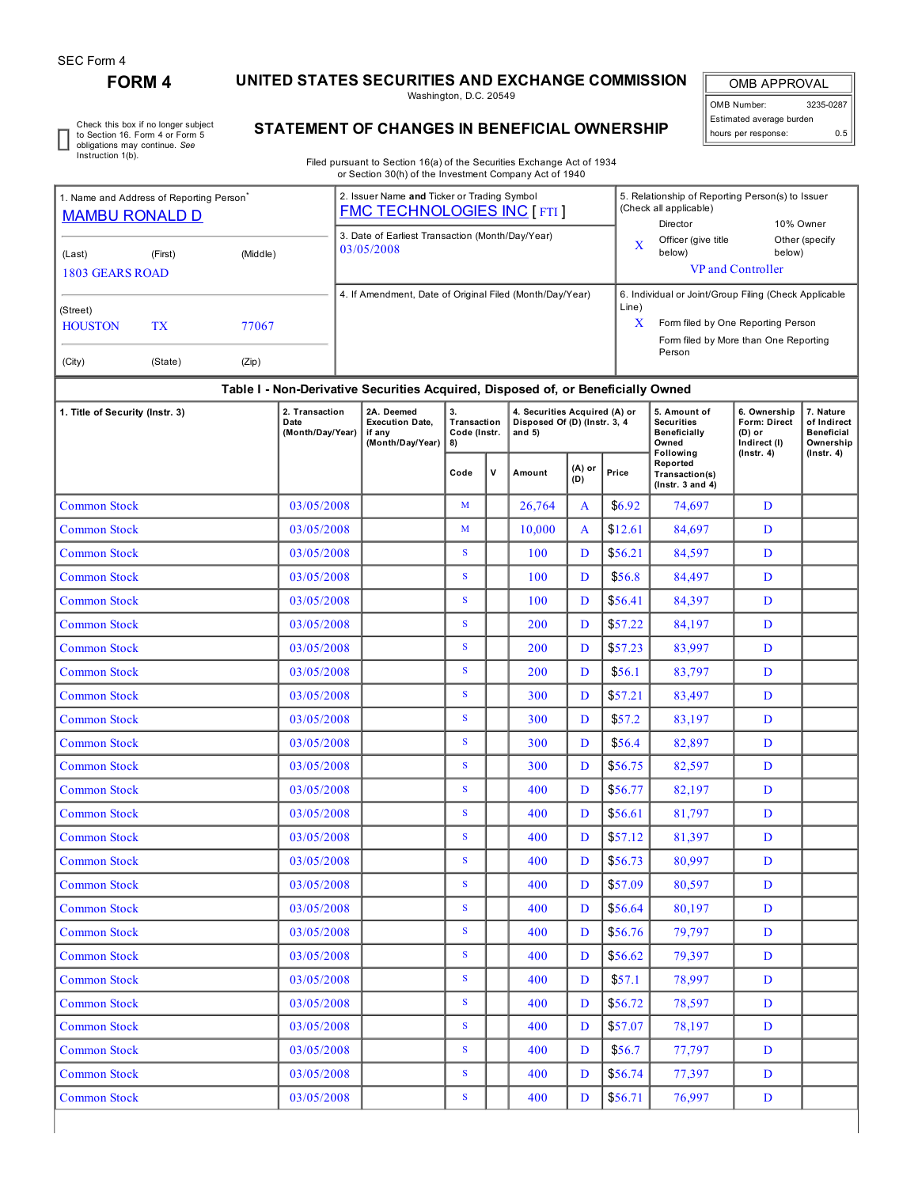r

## **FORM 4 UNITED STATES SECURITIES AND EXCHANGE COMMISSION**

Washington, D.C. 20549

OMB APPROVAL OMB Number: 3235-0287 Estimated average burden hours per response: 0.5

Check this box if no longer subject to Section 16. Form 4 or Form 5 obligations may continue. *See* Instruction 1(b).

## **STATEMENT OF CHANGES IN BENEFICIAL OWNERSHIP**

Filed pursuant to Section 16(a) of the Securities Exchange Act of 1934 or Section 30(h) of the Investment Company Act of 1940

| 1. Name and Address of Reporting Person<br><b>MAMBU RONALD D</b> |                    |          |                                            |  | 2. Issuer Name and Ticker or Trading Symbol<br><b>FMC TECHNOLOGIES INC [FTI]</b> |                                         |   |                                                                            |                         | 5. Relationship of Reporting Person(s) to Issuer<br>(Check all applicable)<br>Director      | 10% Owner                                                         |                                                          |                                                                                |  |  |
|------------------------------------------------------------------|--------------------|----------|--------------------------------------------|--|----------------------------------------------------------------------------------|-----------------------------------------|---|----------------------------------------------------------------------------|-------------------------|---------------------------------------------------------------------------------------------|-------------------------------------------------------------------|----------------------------------------------------------|--------------------------------------------------------------------------------|--|--|
| (Last)                                                           | (First)            | (Middle) |                                            |  | 3. Date of Earliest Transaction (Month/Day/Year)<br>03/05/2008                   |                                         |   |                                                                            | $\overline{\mathbf{X}}$ | Officer (give title<br>below)                                                               | Other (specify<br>below)                                          |                                                          |                                                                                |  |  |
| <b>1803 GEARS ROAD</b>                                           |                    |          |                                            |  | 4. If Amendment, Date of Original Filed (Month/Day/Year)                         |                                         |   |                                                                            |                         | VP and Controller                                                                           |                                                                   |                                                          |                                                                                |  |  |
| (Street)<br><b>HOUSTON</b>                                       | <b>TX</b><br>77067 |          |                                            |  |                                                                                  |                                         |   |                                                                            | Line)<br>X              | 6. Individual or Joint/Group Filing (Check Applicable<br>Form filed by One Reporting Person |                                                                   |                                                          |                                                                                |  |  |
| (City)                                                           | (State)            | (Zip)    |                                            |  |                                                                                  |                                         |   |                                                                            |                         | Form filed by More than One Reporting<br>Person                                             |                                                                   |                                                          |                                                                                |  |  |
|                                                                  |                    |          |                                            |  | Table I - Non-Derivative Securities Acquired, Disposed of, or Beneficially Owned |                                         |   |                                                                            |                         |                                                                                             |                                                                   |                                                          |                                                                                |  |  |
| 1. Title of Security (Instr. 3)                                  |                    |          | 2. Transaction<br>Date<br>(Month/Day/Year) |  | 2A. Deemed<br><b>Execution Date,</b><br>if any<br>(Month/Day/Year)               | 3.<br>Transaction<br>Code (Instr.<br>8) |   | 4. Securities Acquired (A) or<br>Disposed Of (D) (Instr. 3, 4<br>and $5$ ) |                         |                                                                                             | 5. Amount of<br><b>Securities</b><br>Beneficially<br>Owned        | 6. Ownership<br>Form: Direct<br>$(D)$ or<br>Indirect (I) | 7. Nature<br>of Indirect<br><b>Beneficial</b><br>Ownership<br>$($ lnstr. 4 $)$ |  |  |
|                                                                  |                    |          |                                            |  |                                                                                  | Code                                    | v | Amount                                                                     | (A) or<br>Price<br>(D)  |                                                                                             | Following<br>Reported<br>Transaction(s)<br>$($ Instr. 3 and 4 $)$ | $($ Instr. 4 $)$                                         |                                                                                |  |  |
| <b>Common Stock</b>                                              |                    |          | 03/05/2008                                 |  |                                                                                  | M                                       |   | 26,764                                                                     | $\mathbf{A}$            | \$6.92                                                                                      | 74.697                                                            | D                                                        |                                                                                |  |  |
| <b>Common Stock</b>                                              |                    |          | 03/05/2008                                 |  |                                                                                  | $\mathbf{M}$                            |   | 10,000                                                                     | A                       | \$12.61                                                                                     | 84,697                                                            | D                                                        |                                                                                |  |  |
| <b>Common Stock</b>                                              |                    |          | 03/05/2008                                 |  |                                                                                  | ${\bf S}$                               |   | 100                                                                        | D                       | \$56.21                                                                                     | 84,597                                                            | D                                                        |                                                                                |  |  |
| <b>Common Stock</b>                                              |                    |          | 03/05/2008                                 |  |                                                                                  | S                                       |   | 100                                                                        | D                       | \$56.8                                                                                      | 84,497                                                            | D                                                        |                                                                                |  |  |
| <b>Common Stock</b>                                              |                    |          | 03/05/2008                                 |  |                                                                                  | S                                       |   | 100                                                                        | D                       | \$56.41                                                                                     | 84,397                                                            | D                                                        |                                                                                |  |  |
| <b>Common Stock</b>                                              |                    |          | 03/05/2008                                 |  |                                                                                  | S                                       |   | 200                                                                        | D                       | \$57.22                                                                                     | 84,197                                                            | D                                                        |                                                                                |  |  |
| <b>Common Stock</b>                                              |                    |          | 03/05/2008                                 |  |                                                                                  | S                                       |   | 200                                                                        | D                       | \$57.23                                                                                     | 83,997                                                            | D                                                        |                                                                                |  |  |
| <b>Common Stock</b>                                              |                    |          | 03/05/2008                                 |  |                                                                                  | S                                       |   | 200                                                                        | D                       | \$56.1                                                                                      | 83,797                                                            | D                                                        |                                                                                |  |  |
| <b>Common Stock</b>                                              |                    |          | 03/05/2008                                 |  |                                                                                  | S                                       |   | 300                                                                        | D                       | \$57.21                                                                                     | 83,497                                                            | D                                                        |                                                                                |  |  |
| <b>Common Stock</b>                                              |                    |          | 03/05/2008                                 |  |                                                                                  | S                                       |   | 300                                                                        | D                       | \$57.2                                                                                      | 83,197                                                            | D                                                        |                                                                                |  |  |
| <b>Common Stock</b>                                              |                    |          | 03/05/2008                                 |  |                                                                                  | S                                       |   | 300                                                                        | D                       | \$56.4                                                                                      | 82,897                                                            | D                                                        |                                                                                |  |  |
| <b>Common Stock</b>                                              |                    |          | 03/05/2008                                 |  |                                                                                  | S                                       |   | 300                                                                        | D                       | \$56.75                                                                                     | 82,597                                                            | D                                                        |                                                                                |  |  |
| <b>Common Stock</b>                                              |                    |          | 03/05/2008                                 |  |                                                                                  | ${\bf S}$                               |   | 400                                                                        | D                       | \$56.77                                                                                     | 82,197                                                            | D                                                        |                                                                                |  |  |
| <b>Common Stock</b>                                              |                    |          | 03/05/2008                                 |  |                                                                                  | ${\bf S}$                               |   | 400                                                                        | D                       | \$56.61                                                                                     | 81,797                                                            | D                                                        |                                                                                |  |  |
| <b>Common Stock</b>                                              |                    |          | 03/05/2008                                 |  |                                                                                  | ${\bf S}$                               |   | 400                                                                        | D                       | \$57.12                                                                                     | 81,397                                                            | D                                                        |                                                                                |  |  |
| <b>Common Stock</b>                                              |                    |          | 03/05/2008                                 |  |                                                                                  | S                                       |   | 400                                                                        | D                       | \$56.73                                                                                     | 80,997                                                            | D                                                        |                                                                                |  |  |
| <b>Common Stock</b>                                              |                    |          | 03/05/2008                                 |  |                                                                                  | S                                       |   | 400                                                                        | D                       | \$57.09                                                                                     | 80,597                                                            | D                                                        |                                                                                |  |  |
| <b>Common Stock</b>                                              |                    |          | 03/05/2008                                 |  |                                                                                  | S                                       |   | 400                                                                        | $\mathbf{D}$            | \$56.64                                                                                     | 80,197                                                            | D                                                        |                                                                                |  |  |
| <b>Common Stock</b>                                              |                    |          | 03/05/2008                                 |  |                                                                                  | S                                       |   | 400                                                                        | D                       | \$56.76                                                                                     | 79,797                                                            | D                                                        |                                                                                |  |  |
| <b>Common Stock</b>                                              |                    |          | 03/05/2008                                 |  |                                                                                  | $\mathbf S$                             |   | 400                                                                        | D                       | \$56.62                                                                                     | 79,397                                                            | D                                                        |                                                                                |  |  |
| <b>Common Stock</b>                                              |                    |          | 03/05/2008                                 |  |                                                                                  | S                                       |   | 400                                                                        | D                       | \$57.1                                                                                      | 78,997                                                            | D                                                        |                                                                                |  |  |
| <b>Common Stock</b>                                              |                    |          | 03/05/2008                                 |  |                                                                                  | S                                       |   | 400                                                                        | D                       | \$56.72                                                                                     | 78,597                                                            | D                                                        |                                                                                |  |  |
| <b>Common Stock</b>                                              |                    |          | 03/05/2008                                 |  |                                                                                  | S                                       |   | 400                                                                        | D                       | \$57.07                                                                                     | 78,197                                                            | D                                                        |                                                                                |  |  |
| Common Stock                                                     |                    |          | 03/05/2008                                 |  |                                                                                  | $S_{\parallel}$                         |   | 400                                                                        | D                       | \$56.7                                                                                      | 77,797                                                            | D                                                        |                                                                                |  |  |
| <b>Common Stock</b>                                              |                    |          | 03/05/2008                                 |  |                                                                                  | S                                       |   | 400                                                                        | D                       | \$56.74                                                                                     | 77,397                                                            | D                                                        |                                                                                |  |  |
| <b>Common Stock</b>                                              |                    |          | 03/05/2008                                 |  |                                                                                  | $S_{\parallel}$                         |   | 400                                                                        | D                       | \$56.71                                                                                     | 76,997                                                            | D                                                        |                                                                                |  |  |